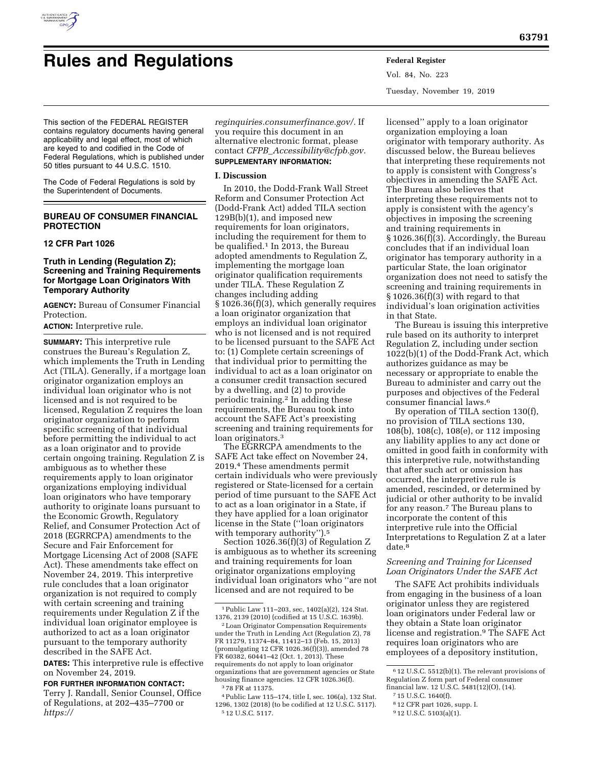

# **Rules and Regulations Federal Register**

Vol. 84, No. 223 Tuesday, November 19, 2019

This section of the FEDERAL REGISTER contains regulatory documents having general applicability and legal effect, most of which are keyed to and codified in the Code of Federal Regulations, which is published under 50 titles pursuant to 44 U.S.C. 1510.

The Code of Federal Regulations is sold by the Superintendent of Documents.

## **BUREAU OF CONSUMER FINANCIAL PROTECTION**

## **12 CFR Part 1026**

## **Truth in Lending (Regulation Z); Screening and Training Requirements for Mortgage Loan Originators With Temporary Authority**

**AGENCY:** Bureau of Consumer Financial Protection.

**ACTION:** Interpretive rule.

**SUMMARY:** This interpretive rule construes the Bureau's Regulation Z, which implements the Truth in Lending Act (TILA). Generally, if a mortgage loan originator organization employs an individual loan originator who is not licensed and is not required to be licensed, Regulation Z requires the loan originator organization to perform specific screening of that individual before permitting the individual to act as a loan originator and to provide certain ongoing training. Regulation Z is ambiguous as to whether these requirements apply to loan originator organizations employing individual loan originators who have temporary authority to originate loans pursuant to the Economic Growth, Regulatory Relief, and Consumer Protection Act of 2018 (EGRRCPA) amendments to the Secure and Fair Enforcement for Mortgage Licensing Act of 2008 (SAFE Act). These amendments take effect on November 24, 2019. This interpretive rule concludes that a loan originator organization is not required to comply with certain screening and training requirements under Regulation Z if the individual loan originator employee is authorized to act as a loan originator pursuant to the temporary authority described in the SAFE Act.

**DATES:** This interpretive rule is effective on November 24, 2019.

## **FOR FURTHER INFORMATION CONTACT:**

Terry J. Randall, Senior Counsel, Office of Regulations, at 202–435–7700 or *[https://](https://reginquiries.consumerfinance.gov/)* 

*[reginquiries.consumerfinance.gov/.](https://reginquiries.consumerfinance.gov/)* If you require this document in an alternative electronic format, please contact *CFPB*\_*[Accessibility@cfpb.gov.](mailto:CFPB_Accessibility@cfpb.gov)*  **SUPPLEMENTARY INFORMATION:** 

#### **I. Discussion**

In 2010, the Dodd-Frank Wall Street Reform and Consumer Protection Act (Dodd-Frank Act) added TILA section 129B(b)(1), and imposed new requirements for loan originators, including the requirement for them to be qualified.1 In 2013, the Bureau adopted amendments to Regulation Z, implementing the mortgage loan originator qualification requirements under TILA. These Regulation Z changes including adding § 1026.36(f)(3), which generally requires a loan originator organization that employs an individual loan originator who is not licensed and is not required to be licensed pursuant to the SAFE Act to: (1) Complete certain screenings of that individual prior to permitting the individual to act as a loan originator on a consumer credit transaction secured by a dwelling, and (2) to provide periodic training.2 In adding these requirements, the Bureau took into account the SAFE Act's preexisting screening and training requirements for loan originators.3

The EGRRCPA amendments to the SAFE Act take effect on November 24, 2019.4 These amendments permit certain individuals who were previously registered or State-licensed for a certain period of time pursuant to the SAFE Act to act as a loan originator in a State, if they have applied for a loan originator license in the State (''loan originators with temporary authority").<sup>5</sup>

Section 1026.36(f)(3) of Regulation Z is ambiguous as to whether its screening and training requirements for loan originator organizations employing individual loan originators who ''are not licensed and are not required to be

1Public Law 111–203, sec, 1402(a)(2), 124 Stat. 1376, 2139 (2010) (codified at 15 U.S.C. 1639b).

2Loan Originator Compensation Requirements under the Truth in Lending Act (Regulation Z), 78 FR 11279, 11374–84, 11412–13 (Feb. 15, 2013) (promulgating 12 CFR 1026.36(f)(3)), amended 78 FR 60382, 60441–42 (Oct. 1, 2013). These requirements do not apply to loan originator organizations that are government agencies or State housing finance agencies. 12 CFR 1026.36(f). 3 78 FR at 11375.

4Public Law 115–174, title I, sec. 106(a), 132 Stat. 1296, 1302 (2018) (to be codified at 12 U.S.C. 5117). 5 12 U.S.C. 5117.

licensed'' apply to a loan originator organization employing a loan originator with temporary authority. As discussed below, the Bureau believes that interpreting these requirements not to apply is consistent with Congress's objectives in amending the SAFE Act. The Bureau also believes that interpreting these requirements not to apply is consistent with the agency's objectives in imposing the screening and training requirements in § 1026.36(f)(3). Accordingly, the Bureau concludes that if an individual loan originator has temporary authority in a particular State, the loan originator organization does not need to satisfy the screening and training requirements in  $§ 1026.36(f)(3)$  with regard to that individual's loan origination activities in that State.

The Bureau is issuing this interpretive rule based on its authority to interpret Regulation Z, including under section 1022(b)(1) of the Dodd-Frank Act, which authorizes guidance as may be necessary or appropriate to enable the Bureau to administer and carry out the purposes and objectives of the Federal consumer financial laws.6

By operation of TILA section 130(f), no provision of TILA sections 130, 108(b), 108(c), 108(e), or 112 imposing any liability applies to any act done or omitted in good faith in conformity with this interpretive rule, notwithstanding that after such act or omission has occurred, the interpretive rule is amended, rescinded, or determined by judicial or other authority to be invalid for any reason.7 The Bureau plans to incorporate the content of this interpretive rule into the Official Interpretations to Regulation Z at a later date.<sup>8</sup>

## *Screening and Training for Licensed Loan Originators Under the SAFE Act*

The SAFE Act prohibits individuals from engaging in the business of a loan originator unless they are registered loan originators under Federal law or they obtain a State loan originator license and registration.<sup>9</sup> The SAFE Act requires loan originators who are employees of a depository institution,

<sup>6</sup> 12 U.S.C. 5512(b)(1). The relevant provisions of Regulation Z form part of Federal consumer financial law. 12 U.S.C. 5481(12)(O), (14).

<sup>7</sup> 15 U.S.C. 1640(f).

<sup>8</sup> 12 CFR part 1026, supp. I.

<sup>9</sup> 12 U.S.C. 5103(a)(1).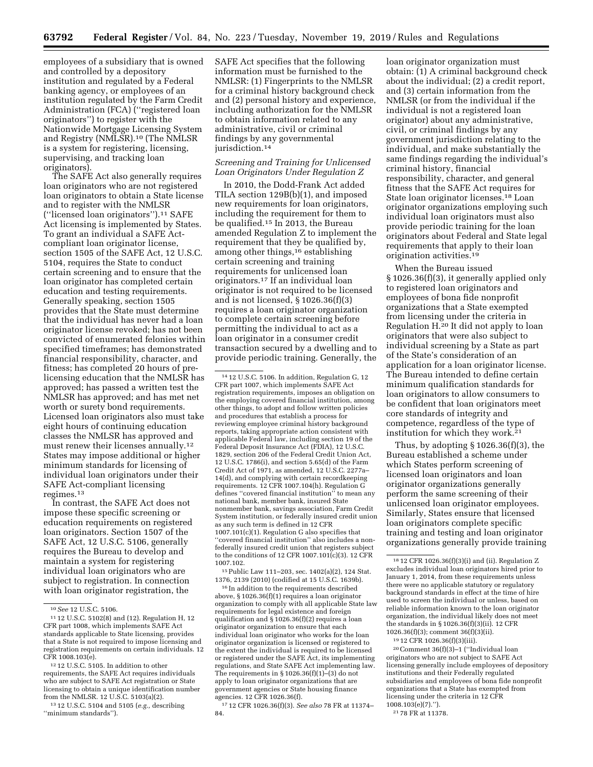employees of a subsidiary that is owned and controlled by a depository institution and regulated by a Federal banking agency, or employees of an institution regulated by the Farm Credit Administration (FCA) (''registered loan originators'') to register with the Nationwide Mortgage Licensing System and Registry (NMLSR).10 (The NMLSR is a system for registering, licensing, supervising, and tracking loan originators).

The SAFE Act also generally requires loan originators who are not registered loan originators to obtain a State license and to register with the NMLSR (''licensed loan originators'').11 SAFE Act licensing is implemented by States. To grant an individual a SAFE Actcompliant loan originator license, section 1505 of the SAFE Act, 12 U.S.C. 5104, requires the State to conduct certain screening and to ensure that the loan originator has completed certain education and testing requirements. Generally speaking, section 1505 provides that the State must determine that the individual has never had a loan originator license revoked; has not been convicted of enumerated felonies within specified timeframes; has demonstrated financial responsibility, character, and fitness; has completed 20 hours of prelicensing education that the NMLSR has approved; has passed a written test the NMLSR has approved; and has met net worth or surety bond requirements. Licensed loan originators also must take eight hours of continuing education classes the NMLSR has approved and must renew their licenses annually.<sup>12</sup> States may impose additional or higher minimum standards for licensing of individual loan originators under their SAFE Act-compliant licensing regimes.13

In contrast, the SAFE Act does not impose these specific screening or education requirements on registered loan originators. Section 1507 of the SAFE Act, 12 U.S.C. 5106, generally requires the Bureau to develop and maintain a system for registering individual loan originators who are subject to registration. In connection with loan originator registration, the

12 12 U.S.C. 5105. In addition to other requirements, the SAFE Act requires individuals who are subject to SAFE Act registration or State licensing to obtain a unique identification number from the NMLSR. 12 U.S.C. 5103(a)(2).

13 12 U.S.C. 5104 and 5105 (*e.g.,* describing ''minimum standards'').

SAFE Act specifies that the following information must be furnished to the NMLSR: (1) Fingerprints to the NMLSR for a criminal history background check and (2) personal history and experience, including authorization for the NMLSR to obtain information related to any administrative, civil or criminal findings by any governmental jurisdiction.<sup>14</sup>

## *Screening and Training for Unlicensed Loan Originators Under Regulation Z*

In 2010, the Dodd-Frank Act added TILA section 129B(b)(1), and imposed new requirements for loan originators, including the requirement for them to be qualified.15 In 2013, the Bureau amended Regulation Z to implement the requirement that they be qualified by, among other things,16 establishing certain screening and training requirements for unlicensed loan originators.17 If an individual loan originator is not required to be licensed and is not licensed, § 1026.36(f)(3) requires a loan originator organization to complete certain screening before permitting the individual to act as a loan originator in a consumer credit transaction secured by a dwelling and to provide periodic training. Generally, the

15Public Law 111–203, sec. 1402(a)(2), 124 Stat. 1376, 2139 (2010) (codified at 15 U.S.C. 1639b).

16 In addition to the requirements described above, § 1026.36(f)(1) requires a loan originator organization to comply with all applicable State law requirements for legal existence and foreign qualification and § 1026.36(f)(2) requires a loan originator organization to ensure that each individual loan originator who works for the loan originator organization is licensed or registered to the extent the individual is required to be licensed or registered under the SAFE Act, its implementing regulations, and State SAFE Act implementing law. The requirements in § 1026.36(f)(1)–(3) do not apply to loan originator organizations that are government agencies or State housing finance agencies. 12 CFR 1026.36(f).

17 12 CFR 1026.36(f)(3). *See also* 78 FR at 11374– 84.

loan originator organization must obtain: (1) A criminal background check about the individual; (2) a credit report, and (3) certain information from the NMLSR (or from the individual if the individual is not a registered loan originator) about any administrative, civil, or criminal findings by any government jurisdiction relating to the individual, and make substantially the same findings regarding the individual's criminal history, financial responsibility, character, and general fitness that the SAFE Act requires for State loan originator licenses.18 Loan originator organizations employing such individual loan originators must also provide periodic training for the loan originators about Federal and State legal requirements that apply to their loan origination activities.19

When the Bureau issued § 1026.36(f)(3), it generally applied only to registered loan originators and employees of bona fide nonprofit organizations that a State exempted from licensing under the criteria in Regulation H.20 It did not apply to loan originators that were also subject to individual screening by a State as part of the State's consideration of an application for a loan originator license. The Bureau intended to define certain minimum qualification standards for loan originators to allow consumers to be confident that loan originators meet core standards of integrity and competence, regardless of the type of institution for which they work.21

Thus, by adopting  $\S 1026.36(f)(3)$ , the Bureau established a scheme under which States perform screening of licensed loan originators and loan originator organizations generally perform the same screening of their unlicensed loan originator employees. Similarly, States ensure that licensed loan originators complete specific training and testing and loan originator organizations generally provide training

20Comment 36(f)(3)–1 (''Individual loan originators who are not subject to SAFE Act licensing generally include employees of depository institutions and their Federally regulated subsidiaries and employees of bona fide nonprofit organizations that a State has exempted from licensing under the criteria in 12 CFR 1008.103(e)(7).'').

21 78 FR at 11378.

<sup>10</sup>*See* 12 U.S.C. 5106.

<sup>11</sup> 12 U.S.C. 5102(8) and (12). Regulation H, 12 CFR part 1008, which implements SAFE Act standards applicable to State licensing, provides that a State is not required to impose licensing and registration requirements on certain individuals. 12 CFR 1008.103(e).

<sup>14</sup> 12 U.S.C. 5106. In addition, Regulation G, 12 CFR part 1007, which implements SAFE Act registration requirements, imposes an obligation on the employing covered financial institution, among other things, to adopt and follow written policies and procedures that establish a process for reviewing employee criminal history background reports, taking appropriate action consistent with applicable Federal law, including section 19 of the Federal Deposit Insurance Act (FDIA), 12 U.S.C. 1829, section 206 of the Federal Credit Union Act, 12 U.S.C. 1786(i), and section 5.65(d) of the Farm Credit Act of 1971, as amended, 12 U.S.C. 2277a– 14(d), and complying with certain recordkeeping requirements. 12 CFR 1007.104(h). Regulation G defines ''covered financial institution'' to mean any national bank, member bank, insured State nonmember bank, savings association, Farm Credit System institution, or federally insured credit union as any such term is defined in 12 CFR 1007.101(c)(1). Regulation G also specifies that ''covered financial institution'' also includes a nonfederally insured credit union that registers subject to the conditions of 12 CFR 1007.101(c)(3). 12 CFR 1007.102.

<sup>18</sup> 12 CFR 1026.36(f)(3)(i) and (ii). Regulation Z excludes individual loan originators hired prior to January 1, 2014, from these requirements unless there were no applicable statutory or regulatory background standards in effect at the time of hire used to screen the individual or unless, based on reliable information known to the loan originator organization, the individual likely does not meet the standards in § 1026.36(f)(3)(ii). 12 CFR 1026.36(f)(3); comment 36(f)(3)(ii).

<sup>19</sup> 12 CFR 1026.36(f)(3)(iii).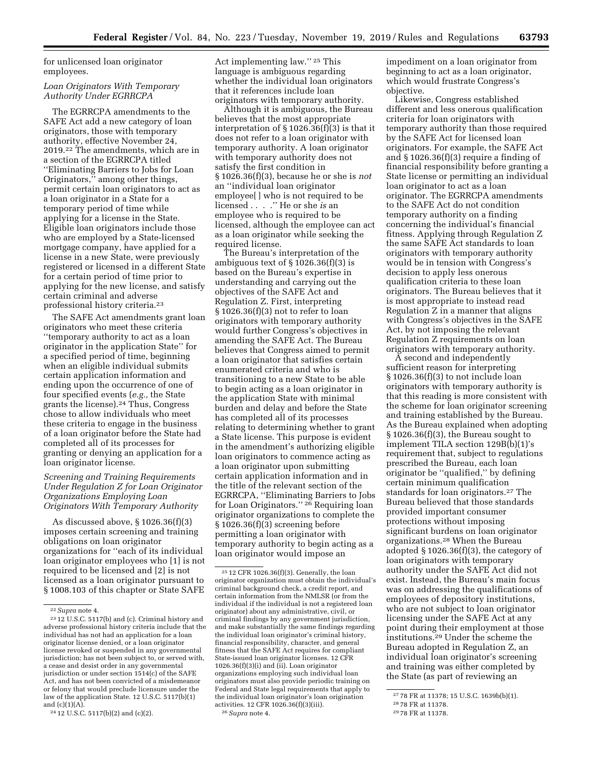for unlicensed loan originator employees.

## *Loan Originators With Temporary Authority Under EGRRCPA*

The EGRRCPA amendments to the SAFE Act add a new category of loan originators, those with temporary authority, effective November 24, 2019.22 The amendments, which are in a section of the EGRRCPA titled ''Eliminating Barriers to Jobs for Loan Originators,'' among other things, permit certain loan originators to act as a loan originator in a State for a temporary period of time while applying for a license in the State. Eligible loan originators include those who are employed by a State-licensed mortgage company, have applied for a license in a new State, were previously registered or licensed in a different State for a certain period of time prior to applying for the new license, and satisfy certain criminal and adverse professional history criteria.23

The SAFE Act amendments grant loan originators who meet these criteria ''temporary authority to act as a loan originator in the application State'' for a specified period of time, beginning when an eligible individual submits certain application information and ending upon the occurrence of one of four specified events (*e.g.,* the State grants the license).24 Thus, Congress chose to allow individuals who meet these criteria to engage in the business of a loan originator before the State had completed all of its processes for granting or denying an application for a loan originator license.

## *Screening and Training Requirements Under Regulation Z for Loan Originator Organizations Employing Loan Originators With Temporary Authority*

As discussed above, § 1026.36(f)(3) imposes certain screening and training obligations on loan originator organizations for ''each of its individual loan originator employees who [1] is not required to be licensed and [2] is not licensed as a loan originator pursuant to § 1008.103 of this chapter or State SAFE

Act implementing law.'' 25 This language is ambiguous regarding whether the individual loan originators that it references include loan originators with temporary authority.

Although it is ambiguous, the Bureau believes that the most appropriate interpretation of § 1026.36(f)(3) is that it does not refer to a loan originator with temporary authority. A loan originator with temporary authority does not satisfy the first condition in § 1026.36(f)(3), because he or she is *not*  an ''individual loan originator employee[ ] who is not required to be licensed . . . .'' He or she *is* an employee who is required to be licensed, although the employee can act as a loan originator while seeking the required license.

The Bureau's interpretation of the ambiguous text of § 1026.36(f)(3) is based on the Bureau's expertise in understanding and carrying out the objectives of the SAFE Act and Regulation Z. First, interpreting § 1026.36(f)(3) not to refer to loan originators with temporary authority would further Congress's objectives in amending the SAFE Act. The Bureau believes that Congress aimed to permit a loan originator that satisfies certain enumerated criteria and who is transitioning to a new State to be able to begin acting as a loan originator in the application State with minimal burden and delay and before the State has completed all of its processes relating to determining whether to grant a State license. This purpose is evident in the amendment's authorizing eligible loan originators to commence acting as a loan originator upon submitting certain application information and in the title of the relevant section of the EGRRCPA, ''Eliminating Barriers to Jobs for Loan Originators.'' 26 Requiring loan originator organizations to complete the § 1026.36(f)(3) screening before permitting a loan originator with temporary authority to begin acting as a loan originator would impose an

impediment on a loan originator from beginning to act as a loan originator, which would frustrate Congress's objective.

Likewise, Congress established different and less onerous qualification criteria for loan originators with temporary authority than those required by the SAFE Act for licensed loan originators. For example, the SAFE Act and § 1026.36(f)(3) require a finding of financial responsibility before granting a State license or permitting an individual loan originator to act as a loan originator. The EGRRCPA amendments to the SAFE Act do not condition temporary authority on a finding concerning the individual's financial fitness. Applying through Regulation Z the same SAFE Act standards to loan originators with temporary authority would be in tension with Congress's decision to apply less onerous qualification criteria to these loan originators. The Bureau believes that it is most appropriate to instead read Regulation Z in a manner that aligns with Congress's objectives in the SAFE Act, by not imposing the relevant Regulation Z requirements on loan originators with temporary authority.

A second and independently sufficient reason for interpreting § 1026.36(f)(3) to not include loan originators with temporary authority is that this reading is more consistent with the scheme for loan originator screening and training established by the Bureau. As the Bureau explained when adopting § 1026.36(f)(3), the Bureau sought to implement TILA section 129B(b)(1)'s requirement that, subject to regulations prescribed the Bureau, each loan originator be ''qualified,'' by defining certain minimum qualification standards for loan originators.27 The Bureau believed that those standards provided important consumer protections without imposing significant burdens on loan originator organizations.28 When the Bureau adopted § 1026.36(f)(3), the category of loan originators with temporary authority under the SAFE Act did not exist. Instead, the Bureau's main focus was on addressing the qualifications of employees of depository institutions, who are not subject to loan originator licensing under the SAFE Act at any point during their employment at those institutions.29 Under the scheme the Bureau adopted in Regulation Z, an individual loan originator's screening and training was either completed by the State (as part of reviewing an

<sup>22</sup>*Supra* note 4.

<sup>23</sup> 12 U.S.C. 5117(b) and (c). Criminal history and adverse professional history criteria include that the individual has not had an application for a loan originator license denied, or a loan originator license revoked or suspended in any governmental jurisdiction; has not been subject to, or served with. a cease and desist order in any governmental jurisdiction or under section 1514(c) of the SAFE Act, and has not been convicted of a misdemeanor or felony that would preclude licensure under the law of the application State. 12 U.S.C. 5117(b)(1) and  $(c)(1)(A)$ 

<sup>24</sup> 12 U.S.C. 5117(b)(2) and (c)(2).

<sup>25</sup> 12 CFR 1026.36(f)(3). Generally, the loan originator organization must obtain the individual's criminal background check, a credit report, and certain information from the NMLSR (or from the individual if the individual is not a registered loan originator) about any administrative, civil, or criminal findings by any government jurisdiction, and make substantially the same findings regarding the individual loan originator's criminal history, financial responsibility, character, and general fitness that the SAFE Act requires for compliant State-issued loan originator licenses. 12 CFR 1026.36(f)(3)(i) and (ii). Loan originator organizations employing such individual loan originators must also provide periodic training on Federal and State legal requirements that apply to the individual loan originator's loan origination activities. 12 CFR 1026.36(f)(3)(iii). 26*Supra* note 4.

<sup>27</sup> 78 FR at 11378; 15 U.S.C. 1639b(b)(1).

<sup>28</sup> 78 FR at 11378.

<sup>29</sup> 78 FR at 11378.